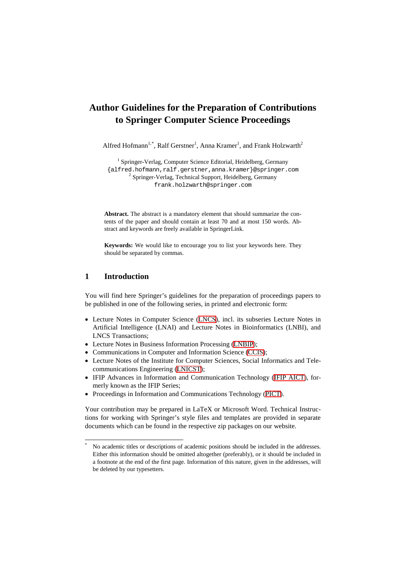# **Author Guidelines for the Preparation of Contributions to Springer Computer Science Proceedings**

Alfred Hofmann<sup>1,[\\*](#page-0-0)</sup>, Ralf Gerstner<sup>1</sup>, Anna Kramer<sup>1</sup>, and Frank Holzwarth<sup>2</sup>

{alfred.hofmann,ralf.gerstner,anna.kramer <sup>1</sup> Springer-Verlag, Computer Science Editorial, Heidelberg, Germany  $2$  Springer-Verlag, Technical Support, Heidelberg, Germany [frank.holzwarth@](mailto:frank.holzwarth@springer.com)springer.com

**Abstract.** The abstract is a mandatory element that should summarize the contents of the paper and should contain at least 70 and at most 150 words. Abstract and keywords are freely available in SpringerLink.

**Keywords:** We would like to encourage you to list your keywords here. They should be separated by commas.

# **1 Introduction**

You will find here Springer's guidelines for the preparation of proceedings papers to be published in one of the following series, in printed and electronic form:

- Lecture Notes in Computer Science [\(LNCS\)](http://www.springer.com/lncs), incl. its subseries Lecture Notes in Artificial Intelligence (LNAI) and Lecture Notes in Bioinformatics (LNBI), and LNCS Transactions;
- Lecture Notes in Business Information Processing ([LNBIP\)](http://www.springer.com/series/7911);
- Communications in Computer and Information Science [\(CCIS\)](http://www.springer.com/series/7899);
- Lecture Notes of the Institute for Computer Sciences, Social Informatics and Telecommunications Engineering [\(LNICST](http://www.springer.com/series/8197));
- IFIP Advances in Information and Communication Technology ([IFIP AICT\)](http://www.springer.com/series/6102), formerly known as the IFIP Series;
- Proceedings in Information and Communications Technology [\(PICT](http://www.springer.com/series/8279)).

Your contribution may be prepared in LaTeX or Microsoft Word. Technical Instructions for working with Springer's style files and templates are provided in separate documents which can be found in the respective zip packages on our website.

<span id="page-0-0"></span>No academic titles or descriptions of academic positions should be included in the addresses. Either this information should be omitted altogether (preferably), or it should be included in a footnote at the end of the first page. Information of this nature, given in the addresses, will be deleted by our typesetters.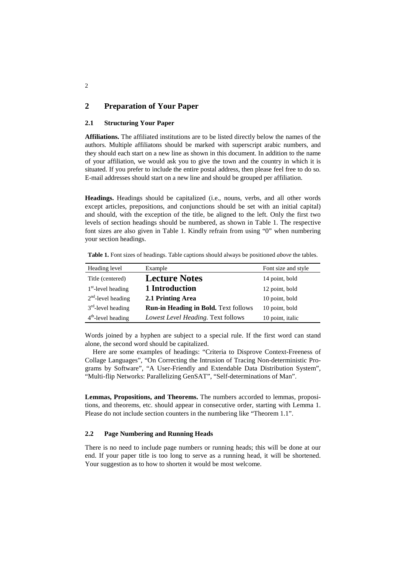# **2 Preparation of Your Paper**

### **2.1 Structuring Your Paper**

**Affiliations.** The affiliated institutions are to be listed directly below the names of the authors. Multiple affiliatons should be marked with superscript arabic numbers, and they should each start on a new line as shown in this document. In addition to the name of your affiliation, we would ask you to give the town and the country in which it is situated. If you prefer to include the entire postal address, then please feel free to do so. E-mail addresses should start on a new line and should be grouped per affiliation.

**Headings.** Headings should be capitalized (i.e., nouns, verbs, and all other words except articles, prepositions, and conjunctions should be set with an initial capital) and should, with the exception of the title, be aligned to the left. Only the first two levels of section headings should be numbered, as shown in Table 1. The respective font sizes are also given in Table 1. Kindly refrain from using "0" when numbering your section headings.

| Heading level        | Example                                     | Font size and style |
|----------------------|---------------------------------------------|---------------------|
| Title (centered)     | <b>Lecture Notes</b>                        | 14 point, bold      |
| $1st$ -level heading | 1 Introduction                              | 12 point, bold      |
| $2nd$ -level heading | 2.1 Printing Area                           | 10 point, bold      |
| $3rd$ -level heading | <b>Run-in Heading in Bold. Text follows</b> | 10 point, bold      |
| $4th$ -level heading | Lowest Level Heading. Text follows          | 10 point, italic    |

**Table 1.** Font sizes of headings. Table captions should always be positioned *above* the tables.

Words joined by a hyphen are subject to a special rule. If the first word can stand alone, the second word should be capitalized.

Here are some examples of headings: "Criteria to Disprove Context-Freeness of Collage Languages", "On Correcting the Intrusion of Tracing Non-deterministic Programs by Software", "A User-Friendly and Extendable Data Distribution System", "Multi-flip Networks: Parallelizing GenSAT", "Self-determinations of Man".

**Lemmas, Propositions, and Theorems.** The numbers accorded to lemmas, propositions, and theorems, etc. should appear in consecutive order, starting with Lemma 1. Please do not include section counters in the numbering like "Theorem 1.1".

#### **2.2 Page Numbering and Running Heads**

There is no need to include page numbers or running heads; this will be done at our end. If your paper title is too long to serve as a running head, it will be shortened. Your suggestion as to how to shorten it would be most welcome.

2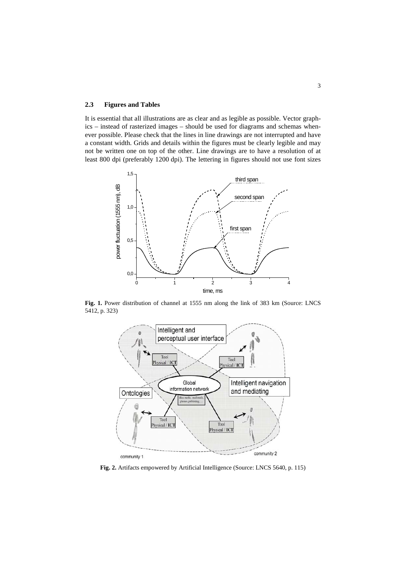### **2.3 Figures and Tables**

It is essential that all illustrations are as clear and as legible as possible. Vector graphics – instead of rasterized images – should be used for diagrams and schemas whenever possible. Please check that the lines in line drawings are not interrupted and have a constant width. Grids and details within the figures must be clearly legible and may not be written one on top of the other. Line drawings are to have a resolution of at least 800 dpi (preferably 1200 dpi). The lettering in figures should not use font sizes



Fig. 1. Power distribution of channel at 1555 nm along the link of 383 km (Source: LNCS 5412, p. 323)



**Fig. 2.** Artifacts empowered by Artificial Intelligence (Source: LNCS 5640, p. 115)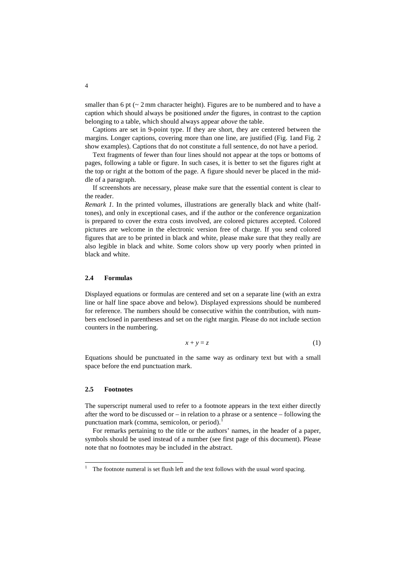smaller than 6 pt  $\left(\sim 2 \text{ mm}$  character height). Figures are to be numbered and to have a caption which should always be positioned *under* the figures, in contrast to the caption belonging to a table, which should always appear *above* the table.

Captions are set in 9-point type. If they are short, they are centered between the margins. Longer captions, covering more than one line, are justified (Fig. 1and Fig. 2 show examples). Captions that do not constitute a full sentence, do not have a period.

Text fragments of fewer than four lines should not appear at the tops or bottoms of pages, following a table or figure. In such cases, it is better to set the figures right at the top or right at the bottom of the page. A figure should never be placed in the middle of a paragraph.

If screenshots are necessary, please make sure that the essential content is clear to the reader.

*Remark 1.* In the printed volumes, illustrations are generally black and white (halftones), and only in exceptional cases, and if the author or the conference organization is prepared to cover the extra costs involved, are colored pictures accepted. Colored pictures are welcome in the electronic version free of charge. If you send colored figures that are to be printed in black and white, please make sure that they really are also legible in black and white. Some colors show up very poorly when printed in black and white.

#### **2.4 Formulas**

Displayed equations or formulas are centered and set on a separate line (with an extra line or half line space above and below). Displayed expressions should be numbered for reference. The numbers should be consecutive within the contribution, with numbers enclosed in parentheses and set on the right margin. Please do not include section counters in the numbering.

$$
x + y = z \tag{1}
$$

Equations should be punctuated in the same way as ordinary text but with a small space before the end punctuation mark.

### **2.5 Footnotes**

The superscript numeral used to refer to a footnote appears in the text either directly after the word to be discussed or  $-$  in relation to a phrase or a sentence  $-$  following the punctuation mark (comma, semicolon, or period).<sup>[1](#page-3-0)</sup>

For remarks pertaining to the title or the authors' names, in the header of a paper, symbols should be used instead of a number (see first page of this document). Please note that no footnotes may be included in the abstract.

<span id="page-3-0"></span><sup>&</sup>lt;sup>1</sup> The footnote numeral is set flush left and the text follows with the usual word spacing.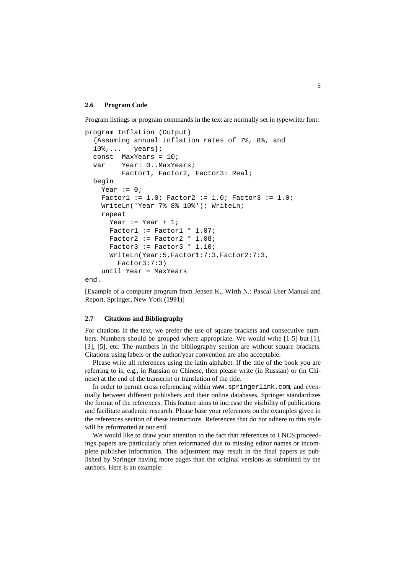#### **2.6 Program Code**

Program listings or program commands in the text are normally set in typewriter font:

```
program Inflation (Output)
   {Assuming annual inflation rates of 7%, 8%, and
  10\,... years;
   const MaxYears = 10;
   var Year: 0..MaxYears;
          Factor1, Factor2, Factor3: Real;
  begin
    Year := 0;Factor1 := 1.0; Factor2 := 1.0; Factor3 := 1.0;
     WriteLn('Year 7% 8% 10%'); WriteLn;
     repeat
      Year := Year +1;
      Factor1 := Factor1 * 1.07;
      Factor2 := Factor2 * 1.08;
      Factor3 := Factor3 * 1.10;
       WriteLn(Year:5,Factor1:7:3,Factor2:7:3,
         Factor3:7:3)
     until Year = MaxYears
end.
```
[Example of a computer program from Jensen K., Wirth N.: Pascal User Manual and Report. Springer, New York (1991)]

#### **2.7 Citations and Bibliography**

For citations in the text, we prefer the use of square brackets and consecutive numbers. Numbers should be grouped where appropriate. We would write [1-5] but [1], [3], [5], etc. The numbers in the bibliography section are without square brackets. Citations using labels or the author/year convention are also acceptable.

Please write all references using the latin alphabet. If the title of the book you are referring to is, e.g., in Russian or Chinese, then please write (in Russian) or (in Chinese) at the end of the transcript or translation of the title.

In order to permit cross referencing within www.springerlink.com, and eventually between different publishers and their online databases, Springer standardizes the format of the references. This feature aims to increase the visibility of publications and facilitate academic research. Please base your references on the examples given in the references section of these instructions. References that do not adhere to this style will be reformatted at our end.

We would like to draw your attention to the fact that references to LNCS proceedings papers are particularly often reformatted due to missing editor names or incomplete publisher information. This adjustment may result in the final papers as published by Springer having more pages than the original versions as submitted by the authors. Here is an example: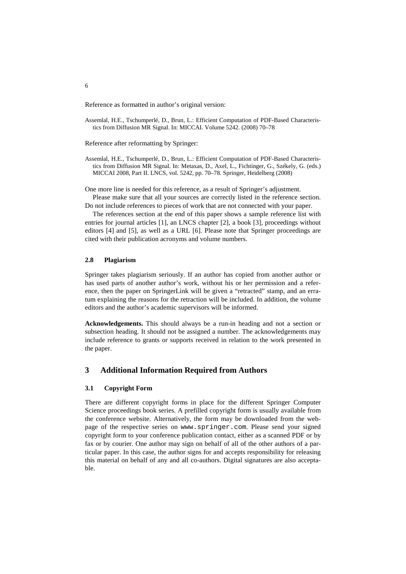Reference as formatted in author's original version:

Assemlal, H.E., Tschumperlé, D., Brun, L.: Efficient Computation of PDF-Based Characteristics from Diffusion MR Signal. In: MICCAI. Volume 5242. (2008) 70–78

Reference after reformatting by Springer:

Assemlal, H.E., Tschumperlé, D., Brun, L.: Efficient Computation of PDF-Based Characteristics from Diffusion MR Signal. In: Metaxas, D., Axel, L., Fichtinger, G., Székely, G. (eds.) MICCAI 2008, Part II. LNCS, vol. 5242, pp. 70–78. Springer, Heidelberg (2008)

One more line is needed for this reference, as a result of Springer's adjustment.

Please make sure that all your sources are correctly listed in the reference section. Do not include references to pieces of work that are not connected with your paper.

The references section at the end of this paper shows a sample reference list with entries for journal articles [1], an LNCS chapter [2], a book [3], proceedings without editors [4] and [5], as well as a URL [6]. Please note that Springer proceedings are cited with their publication acronyms and volume numbers.

#### **2.8 Plagiarism**

Springer takes plagiarism seriously. If an author has copied from another author or has used parts of another author's work, without his or her permission and a reference, then the paper on SpringerLink will be given a "retracted" stamp, and an erratum explaining the reasons for the retraction will be included. In addition, the volume editors and the author's academic supervisors will be informed.

**Acknowledgements.** This should always be a run-in heading and not a section or subsection heading. It should not be assigned a number. The acknowledgements may include reference to grants or supports received in relation to the work presented in the paper.

# **3 Additional Information Required from Authors**

#### **3.1 Copyright Form**

There are different copyright forms in place for the different Springer Computer Science proceedings book series. A prefilled copyright form is usually available from the conference website. Alternatively, the form may be downloaded from the webpage of the respective series on www.springer.com. Please send your signed copyright form to your conference publication contact, either as a scanned PDF or by fax or by courier. One author may sign on behalf of all of the other authors of a particular paper. In this case, the author signs for and accepts responsibility for releasing this material on behalf of any and all co-authors. Digital signatures are also acceptable.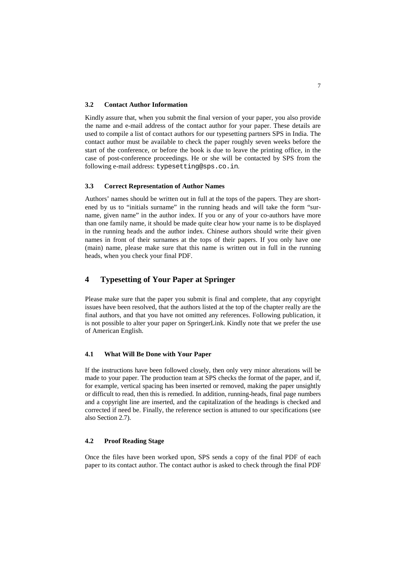#### **3.2 Contact Author Information**

Kindly assure that, when you submit the final version of your paper, you also provide the name and e-mail address of the contact author for your paper. These details are used to compile a list of contact authors for our typesetting partners SPS in India. The contact author must be available to check the paper roughly seven weeks before the start of the conference, or before the book is due to leave the printing office, in the case of post-conference proceedings. He or she will be contacted by SPS from the following e-mail address: typesetting@sps.co.in.

### **3.3 Correct Representation of Author Names**

Authors' names should be written out in full at the tops of the papers. They are shortened by us to "initials surname" in the running heads and will take the form "surname, given name" in the author index. If you or any of your co-authors have more than one family name, it should be made quite clear how your name is to be displayed in the running heads and the author index. Chinese authors should write their given names in front of their surnames at the tops of their papers. If you only have one (main) name, please make sure that this name is written out in full in the running heads, when you check your final PDF.

# **4 Typesetting of Your Paper at Springer**

Please make sure that the paper you submit is final and complete, that any copyright issues have been resolved, that the authors listed at the top of the chapter really are the final authors, and that you have not omitted any references. Following publication, it is not possible to alter your paper on SpringerLink. Kindly note that we prefer the use of American English.

### **4.1 What Will Be Done with Your Paper**

If the instructions have been followed closely, then only very minor alterations will be made to your paper. The production team at SPS checks the format of the paper, and if, for example, vertical spacing has been inserted or removed, making the paper unsightly or difficult to read, then this is remedied. In addition, running-heads, final page numbers and a copyright line are inserted, and the capitalization of the headings is checked and corrected if need be. Finally, the reference section is attuned to our specifications (see also Section 2.7).

### **4.2 Proof Reading Stage**

Once the files have been worked upon, SPS sends a copy of the final PDF of each paper to its contact author. The contact author is asked to check through the final PDF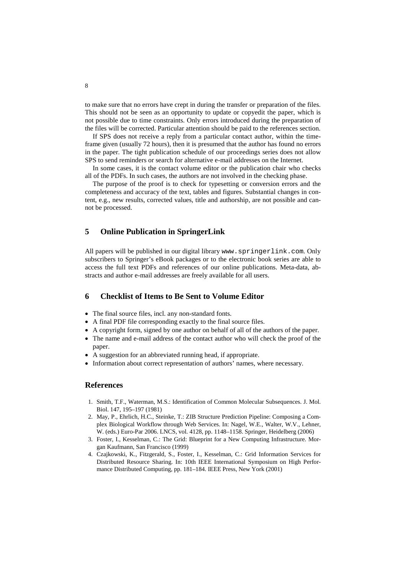to make sure that no errors have crept in during the transfer or preparation of the files. This should not be seen as an opportunity to update or copyedit the paper, which is not possible due to time constraints. Only errors introduced during the preparation of the files will be corrected. Particular attention should be paid to the references section.

If SPS does not receive a reply from a particular contact author, within the timeframe given (usually 72 hours), then it is presumed that the author has found no errors in the paper. The tight publication schedule of our proceedings series does not allow SPS to send reminders or search for alternative e-mail addresses on the Internet.

In some cases, it is the contact volume editor or the publication chair who checks all of the PDFs. In such cases, the authors are not involved in the checking phase.

The purpose of the proof is to check for typesetting or conversion errors and the completeness and accuracy of the text, tables and figures. Substantial changes in content, e.g., new results, corrected values, title and authorship, are not possible and cannot be processed.

### **5 Online Publication in SpringerLink**

All papers will be published in our digital library www.springerlink.com. Only subscribers to Springer's eBook packages or to the electronic book series are able to access the full text PDFs and references of our online publications. Meta-data, abstracts and author e-mail addresses are freely available for all users.

## **6 Checklist of Items to Be Sent to Volume Editor**

- The final source files, incl. any non-standard fonts.
- A final PDF file corresponding exactly to the final source files.
- A copyright form, signed by one author on behalf of all of the authors of the paper.
- The name and e-mail address of the contact author who will check the proof of the paper.
- A suggestion for an abbreviated running head, if appropriate.
- Information about correct representation of authors' names, where necessary.

### **References**

- 1. Smith, T.F., Waterman, M.S.: Identification of Common Molecular Subsequences. J. Mol. Biol. 147, 195–197 (1981)
- 2. May, P., Ehrlich, H.C., Steinke, T.: ZIB Structure Prediction Pipeline: Composing a Complex Biological Workflow through Web Services. In: Nagel, W.E., Walter, W.V., Lehner, W. (eds.) Euro-Par 2006. LNCS, vol. 4128, pp. 1148–1158. Springer, Heidelberg (2006)
- 3. Foster, I., Kesselman, C.: The Grid: Blueprint for a New Computing Infrastructure. Morgan Kaufmann, San Francisco (1999)
- 4. Czajkowski, K., Fitzgerald, S., Foster, I., Kesselman, C.: Grid Information Services for Distributed Resource Sharing. In: 10th IEEE International Symposium on High Performance Distributed Computing, pp. 181–184. IEEE Press, New York (2001)